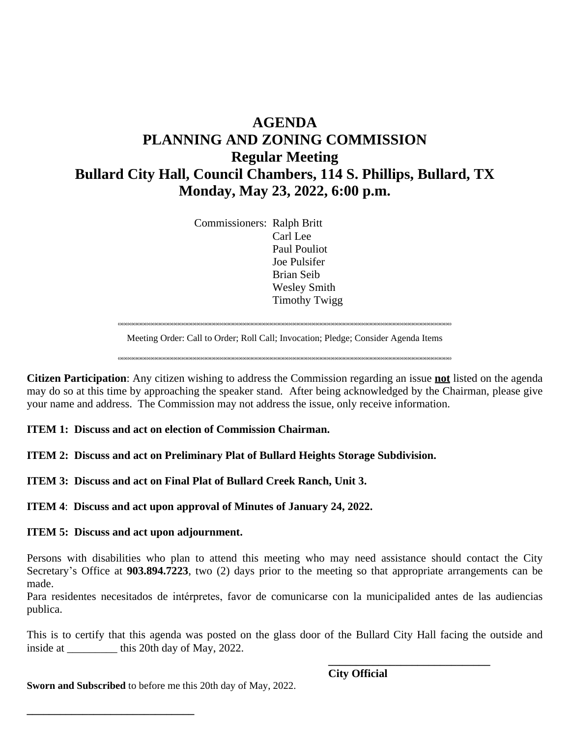## **AGENDA PLANNING AND ZONING COMMISSION Regular Meeting Bullard City Hall, Council Chambers, 114 S. Phillips, Bullard, TX Monday, May 23, 2022, 6:00 p.m.**

Commissioners: Ralph Britt Carl Lee Paul Pouliot Joe Pulsifer Brian Seib Wesley Smith Timothy Twigg

wwwwwwwwwwwwwwwwwwwwwwwwwwwwwwwwwwwwwwwwwwwwwwwwwwwwwwwwwwwwwwwwwwwwwwwwwwwwwwwwwwwwwww Meeting Order: Call to Order; Roll Call; Invocation; Pledge; Consider Agenda Items

wwwwwwwwwwwwwwwwwwwwwwwwwwwwwwwwwwwwwwwwwwwwwwwwwwwwwwwwwwwwwwwwwwwwwwwwwwwwwwwwwwwwwww

**Citizen Participation**: Any citizen wishing to address the Commission regarding an issue **not** listed on the agenda may do so at this time by approaching the speaker stand. After being acknowledged by the Chairman, please give your name and address. The Commission may not address the issue, only receive information.

**ITEM 1: Discuss and act on election of Commission Chairman.**

**ITEM 2: Discuss and act on Preliminary Plat of Bullard Heights Storage Subdivision.**

**ITEM 3: Discuss and act on Final Plat of Bullard Creek Ranch, Unit 3.**

**ITEM 4**: **Discuss and act upon approval of Minutes of January 24, 2022.**

## **ITEM 5: Discuss and act upon adjournment.**

**\_\_\_\_\_\_\_\_\_\_\_\_\_\_\_\_\_\_\_\_\_\_\_\_\_\_\_\_\_\_**

Persons with disabilities who plan to attend this meeting who may need assistance should contact the City Secretary's Office at **903.894.7223**, two (2) days prior to the meeting so that appropriate arrangements can be made.

Para residentes necesitados de intérpretes, favor de comunicarse con la municipalided antes de las audiencias publica.

This is to certify that this agenda was posted on the glass door of the Bullard City Hall facing the outside and inside at \_\_\_\_\_\_\_\_\_ this 20th day of May, 2022.

**Sworn and Subscribed** to before me this 20th day of May, 2022.

**City Official**

**\_\_\_\_\_\_\_\_\_\_\_\_\_\_\_\_\_\_\_\_\_\_\_\_\_\_\_\_\_**